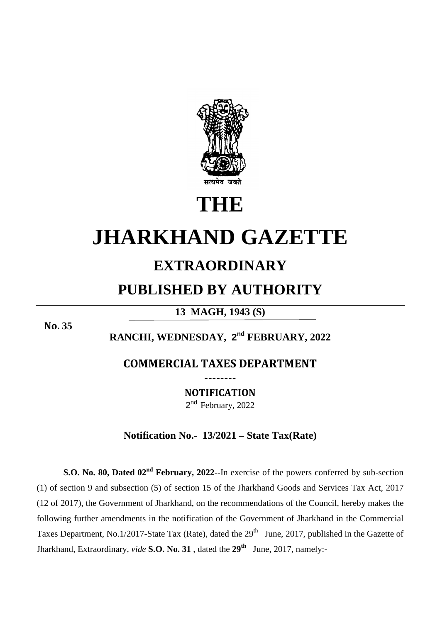

# **THE**

# **JHARKHAND GAZETTE**

## **EXTRAORDINARY**

## **PUBLISHED BY AUTHORITY**

**13 MAGH, 1943 (S)** 

**No. 35**

**RANCHI, WEDNESDAY, 2 nd FEBRUARY, 2022** 

#### **COMMERCIAL TAXES DEPARTMENT --------**

**NOTIFICATION**  2<sup>nd</sup> February, 2022

**Notification No.- 13/2021 – State Tax(Rate)**

**S.O. No. 80, Dated 02nd February, 2022--**In exercise of the powers conferred by sub-section (1) of section 9 and subsection (5) of section 15 of the Jharkhand Goods and Services Tax Act, 2017 (12 of 2017), the Government of Jharkhand, on the recommendations of the Council, hereby makes the following further amendments in the notification of the Government of Jharkhand in the Commercial Taxes Department, No.1/2017-State Tax (Rate), dated the 29<sup>th</sup> June, 2017, published in the Gazette of Jharkhand, Extraordinary, *vide* **S.O. No. 31** , dated the **29th** June, 2017, namely:-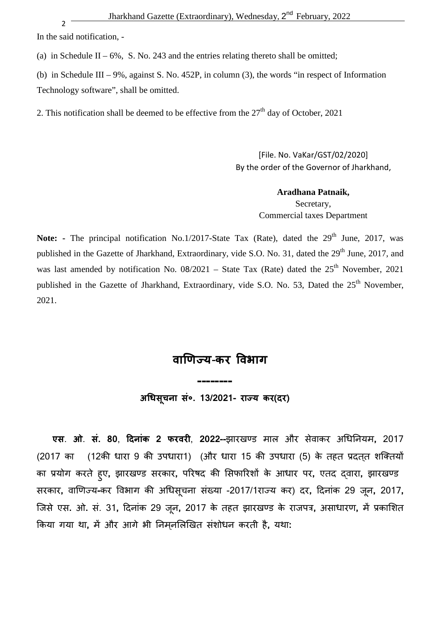In the said notification, -

2

(a) in Schedule II – 6%, S. No. 243 and the entries relating thereto shall be omitted;

(b) in Schedule III – 9%, against S. No. 452P, in column (3), the words "in respect of Information Technology software", shall be omitted.

Jharkhand Gazette (Extraordinary), Wednesday, 2<sup>nd</sup> February, 2022

2. This notification shall be deemed to be effective from the  $27<sup>th</sup>$  day of October, 2021

[File. No. VaKar/GST/02/2020] By the order of the Governor of Jharkhand,

> **Aradhana Patnaik,** Secretary, Commercial taxes Department

**Note:** - The principal notification No.1/2017-State Tax (Rate), dated the 29<sup>th</sup> June, 2017, was published in the Gazette of Jharkhand, Extraordinary, vide S.O. No. 31, dated the 29<sup>th</sup> June, 2017, and was last amended by notification No.  $08/2021$  – State Tax (Rate) dated the  $25<sup>th</sup>$  November, 2021 published in the Gazette of Jharkhand, Extraordinary, vide S.O. No. 53, Dated the 25<sup>th</sup> November, 2021.

### **वाणय**-**कर वभाग**

**--------** 

**अधसूचना सं०. 13/2021- रा य कर(दर)** 

**एस**. **ओ**. **सं. 80**, **#दनांक 2 फरवर%**, **2022--**झारख ड माल और सेवाकर अधनयम**,** 2017 (2017 का (12की धारा 9 की उपधारा1) (और धारा 15 की उपधारा (5) के तहत प्रदत्त शक्तियों का प्रयोग करते हुए, झारखण्ड सरकार, परिषद की सिफारिशों के आधार पर, एतद दवारा, झारखण्ड सरकार, वाणिज्य-कर विभाग की अधिसूचना संख्या -2017/1राज्य कर) दर, दिनांक 29 जून, 2017, िजसे एस**.** ओ**.** सं. 31**,** @दनांक 29 जून**,** 2017 के तहत झारख ड के राजपD**,** असाधारण**,** मE %का2शत Fकया गया था**,** मE और आगे भी नम न2ल6खत ् संशोधन करती है**,** यथा**:**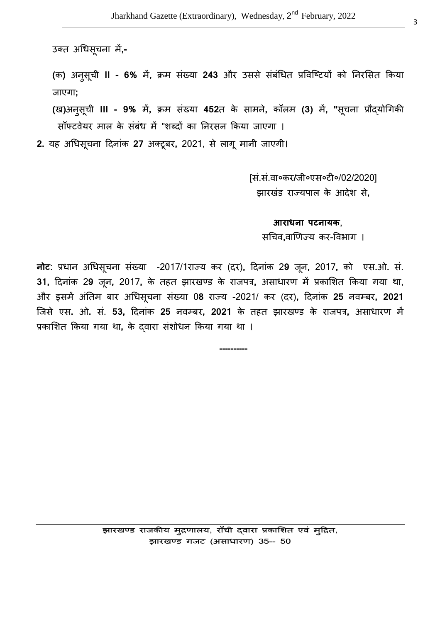उक्त अधिसूचना में,-

(क) अनुसूची II - 6% में, क्रम संख्या 243 और उससे संबंधित प्रविष्टियों को निरसित किया जाएगा**;** 

(ख)अनुसूची III - 9% में, क्रम संख्या 452त के सामने, कॉलम (3) में, "सूचना प्रौद्**योगिकी** सॉफ्टवेयर माल के संबंध में "शब्दों का निरसन किया जाएगा ।

**2.** यह अधसूचना @दनांक **27** अ\*टूबर**,** 2021, से लागू मानी जाएगी।

|सं.सं.वा०कर/जी०एस०टी०/02/2020] झारखंड रा8यपाल के आदेश से**,** 

#### **आराधना पटनायक**,

सचिव,वाणिज्य कर-विभाग ।

**नोट**: प्रधान अधिसूचना संख्या -2017/1राज्य कर (दर), दिनांक 29 जून, 2017, को एस.ओ. सं. 31, दिनांक 29 जून, 2017, के तहत झारखण्ड के राजपत्र, असाधारण में प्रकाशित किया गया था, ओर इसमें अंतिम बार अधिसूचना संख्या 08 राज्य -2021/ कर (दर), दिनांक 25 नवम्बर, 2021 िजसे एस**.** ओ**.** सं. **53,** @दनांक **25** नवZबर**, 2021** के तहत झारख ड के राजपD**,** असाधारण मE %का2शत Fकया गया था**,** के 5वारा संशोधन Fकया गया था ।

**----------**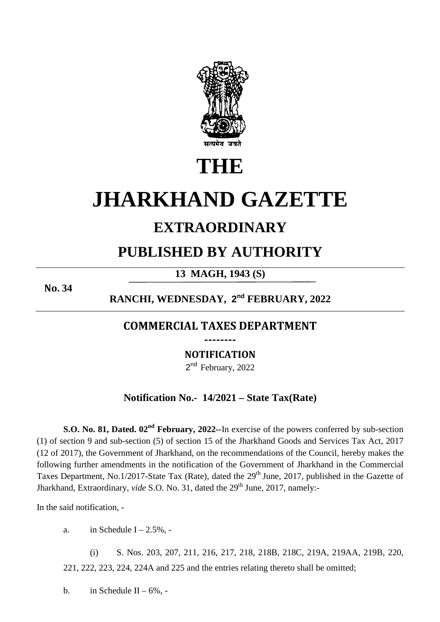

# **THE**

# **JHARKHAND GAZETTE**

## **EXTRAORDINARY**

## **PUBLISHED BY AUTHORITY**

### **13 MAGH, 1943 (S)**

**No. 34**

**RANCHI, WEDNESDAY, 2 nd FEBRUARY, 2022** 

### **COMMERCIAL TAXES DEPARTMENT --------**

**NOTIFICATION** 

2<sup>nd</sup> February, 2022

**Notification No.- 14/2021 – State Tax(Rate)**

**S.O. No. 81, Dated. 02nd February, 2022--**In exercise of the powers conferred by sub-section (1) of section 9 and sub-section (5) of section 15 of the Jharkhand Goods and Services Tax Act, 2017 (12 of 2017), the Government of Jharkhand, on the recommendations of the Council, hereby makes the following further amendments in the notification of the Government of Jharkhand in the Commercial Taxes Department, No.1/2017-State Tax (Rate), dated the 29<sup>th</sup> June, 2017, published in the Gazette of Jharkhand, Extraordinary, *vide* S.O. No. 31, dated the 29<sup>th</sup> June, 2017, namely:-

In the said notification, -

a. in Schedule  $I - 2.5\%$ .

(i) S. Nos. 203, 207, 211, 216, 217, 218, 218B, 218C, 219A, 219AA, 219B, 220, 221, 222, 223, 224, 224A and 225 and the entries relating thereto shall be omitted;

b. in Schedule II –  $6\%$ .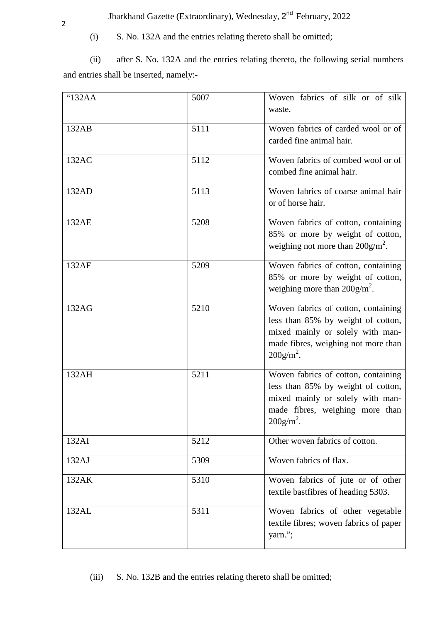#### 2 Jharkhand Gazette (Extraordinary), Wednesday, 2<sup>nd</sup> February, 2022

(i) S. No. 132A and the entries relating thereto shall be omitted;

(ii) after S. No. 132A and the entries relating thereto, the following serial numbers and entries shall be inserted, namely:-

| "132AA | 5007 | Woven fabrics of silk or of silk<br>waste.                                                                                                                                       |
|--------|------|----------------------------------------------------------------------------------------------------------------------------------------------------------------------------------|
| 132AB  | 5111 | Woven fabrics of carded wool or of<br>carded fine animal hair.                                                                                                                   |
| 132AC  | 5112 | Woven fabrics of combed wool or of<br>combed fine animal hair.                                                                                                                   |
| 132AD  | 5113 | Woven fabrics of coarse animal hair<br>or of horse hair.                                                                                                                         |
| 132AE  | 5208 | Woven fabrics of cotton, containing<br>85% or more by weight of cotton,<br>weighing not more than $200g/m^2$ .                                                                   |
| 132AF  | 5209 | Woven fabrics of cotton, containing<br>85% or more by weight of cotton,<br>weighing more than $200g/m^2$ .                                                                       |
| 132AG  | 5210 | Woven fabrics of cotton, containing<br>less than 85% by weight of cotton,<br>mixed mainly or solely with man-<br>made fibres, weighing not more than<br>$200$ g/m <sup>2</sup> . |
| 132AH  | 5211 | Woven fabrics of cotton, containing<br>less than 85% by weight of cotton,<br>mixed mainly or solely with man-<br>made fibres, weighing more than<br>$200 g/m2$ .                 |
| 132AI  | 5212 | Other woven fabrics of cotton.                                                                                                                                                   |
| 132AJ  | 5309 | Woven fabrics of flax.                                                                                                                                                           |
| 132AK  | 5310 | Woven fabrics of jute or of other<br>textile bastfibres of heading 5303.                                                                                                         |
| 132AL  | 5311 | Woven fabrics of other vegetable<br>textile fibres; woven fabrics of paper<br>yarn.";                                                                                            |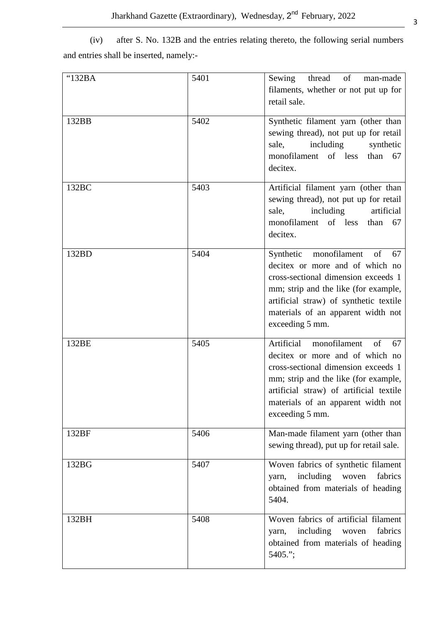(iv) after S. No. 132B and the entries relating thereto, the following serial numbers and entries shall be inserted, namely:-

| "132BA" | 5401 | thread<br>of<br>Sewing<br>man-made<br>filaments, whether or not put up for<br>retail sale.                                                                                                                                                                   |
|---------|------|--------------------------------------------------------------------------------------------------------------------------------------------------------------------------------------------------------------------------------------------------------------|
| 132BB   | 5402 | Synthetic filament yarn (other than<br>sewing thread), not put up for retail<br>including<br>sale,<br>synthetic<br>monofilament of less<br>than<br>67<br>decitex.                                                                                            |
| 132BC   | 5403 | Artificial filament yarn (other than<br>sewing thread), not put up for retail<br>including<br>sale,<br>artificial<br>monofilament of less than<br>67<br>decitex.                                                                                             |
| 132BD   | 5404 | monofilament<br>Synthetic<br>of<br>67<br>decitex or more and of which no<br>cross-sectional dimension exceeds 1<br>mm; strip and the like (for example,<br>artificial straw) of synthetic textile<br>materials of an apparent width not<br>exceeding 5 mm.   |
| 132BE   | 5405 | Artificial<br>monofilament<br>of<br>67<br>decitex or more and of which no<br>cross-sectional dimension exceeds 1<br>mm; strip and the like (for example,<br>artificial straw) of artificial textile<br>materials of an apparent width not<br>exceeding 5 mm. |
| 132BF   | 5406 | Man-made filament yarn (other than<br>sewing thread), put up for retail sale.                                                                                                                                                                                |
| 132BG   | 5407 | Woven fabrics of synthetic filament<br>including<br>woven<br>fabrics<br>yarn,<br>obtained from materials of heading<br>5404.                                                                                                                                 |
| 132BH   | 5408 | Woven fabrics of artificial filament<br>including<br>fabrics<br>woven<br>yarn,<br>obtained from materials of heading<br>5405.";                                                                                                                              |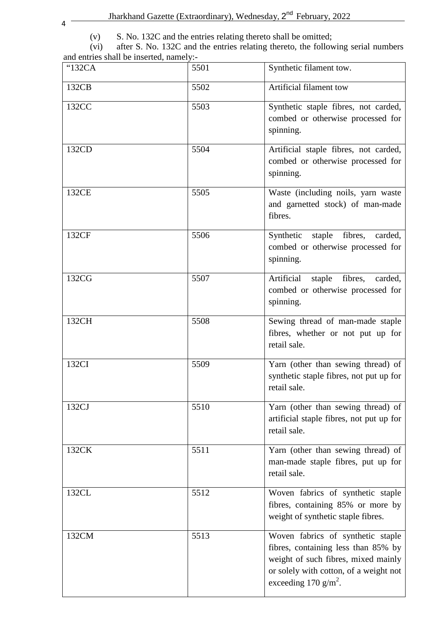Jharkhand Gazette (Extraordinary), Wednesday, 2<sup>nd</sup> February, 2022

4

(v) S. No. 132C and the entries relating thereto shall be omitted;<br>(vi) after S. No. 132C and the entries relating thereto, the follow after S. No. 132C and the entries relating thereto, the following serial numbers and entries shall be inserted, namely:-

| "132CA | 5501 | Synthetic filament tow.                                                                                                                                                                      |
|--------|------|----------------------------------------------------------------------------------------------------------------------------------------------------------------------------------------------|
| 132CB  | 5502 | Artificial filament tow                                                                                                                                                                      |
| 132CC  | 5503 | Synthetic staple fibres, not carded,<br>combed or otherwise processed for<br>spinning.                                                                                                       |
| 132CD  | 5504 | Artificial staple fibres, not carded,<br>combed or otherwise processed for<br>spinning.                                                                                                      |
| 132CE  | 5505 | Waste (including noils, yarn waste<br>and garnetted stock) of man-made<br>fibres.                                                                                                            |
| 132CF  | 5506 | Synthetic<br>staple fibres,<br>carded,<br>combed or otherwise processed for<br>spinning.                                                                                                     |
| 132CG  | 5507 | Artificial<br>staple<br>fibres,<br>carded,<br>combed or otherwise processed for<br>spinning.                                                                                                 |
| 132CH  | 5508 | Sewing thread of man-made staple<br>fibres, whether or not put up for<br>retail sale.                                                                                                        |
| 132CI  | 5509 | Yarn (other than sewing thread) of<br>synthetic staple fibres, not put up for<br>retail sale.                                                                                                |
| 132CJ  | 5510 | Yarn (other than sewing thread) of<br>artificial staple fibres, not put up for<br>retail sale.                                                                                               |
| 132CK  | 5511 | Yarn (other than sewing thread) of<br>man-made staple fibres, put up for<br>retail sale.                                                                                                     |
| 132CL  | 5512 | Woven fabrics of synthetic staple<br>fibres, containing 85% or more by<br>weight of synthetic staple fibres.                                                                                 |
| 132CM  | 5513 | Woven fabrics of synthetic staple<br>fibres, containing less than 85% by<br>weight of such fibres, mixed mainly<br>or solely with cotton, of a weight not<br>exceeding $170 \text{ g/m}^2$ . |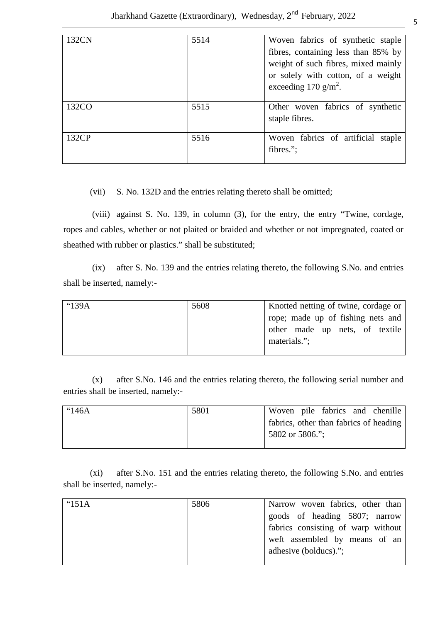| 132CN | 5514 | Woven fabrics of synthetic staple<br>fibres, containing less than 85% by<br>weight of such fibres, mixed mainly<br>or solely with cotton, of a weight<br>exceeding 170 g/m <sup>2</sup> . |
|-------|------|-------------------------------------------------------------------------------------------------------------------------------------------------------------------------------------------|
| 132CO | 5515 | Other woven fabrics of synthetic<br>staple fibres.                                                                                                                                        |
| 132CP | 5516 | Woven fabrics of artificial staple<br>fibres.":                                                                                                                                           |

(vii) S. No. 132D and the entries relating thereto shall be omitted;

 (viii) against S. No. 139, in column (3), for the entry, the entry "Twine, cordage, ropes and cables, whether or not plaited or braided and whether or not impregnated, coated or sheathed with rubber or plastics." shall be substituted;

 (ix) after S. No. 139 and the entries relating thereto, the following S.No. and entries shall be inserted, namely:-

| "139A" | 5608 | Knotted netting of twine, cordage or |
|--------|------|--------------------------------------|
|        |      | rope; made up of fishing nets and    |
|        |      | other made up nets, of textile       |
|        |      | materials.";                         |
|        |      |                                      |

 (x) after S.No. 146 and the entries relating thereto, the following serial number and entries shall be inserted, namely:-

| "146A | 5801 | Woven pile fabrics and chenille        |
|-------|------|----------------------------------------|
|       |      | fabrics, other than fabrics of heading |
|       |      | 5802 or 5806.";                        |
|       |      |                                        |

(xi) after S.No. 151 and the entries relating thereto, the following S.No. and entries shall be inserted, namely:-

| " $151A$ | 5806 | Narrow woven fabrics, other than   |
|----------|------|------------------------------------|
|          |      | goods of heading 5807; narrow      |
|          |      | fabrics consisting of warp without |
|          |      | weft assembled by means of an      |
|          |      | adhesive (bolducs).";              |
|          |      |                                    |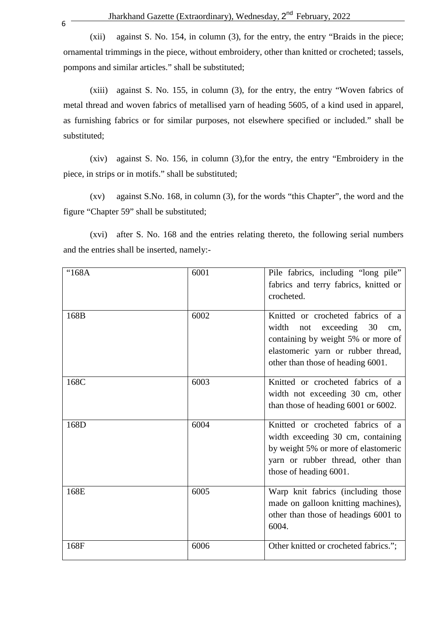(xii) against S. No. 154, in column (3), for the entry, the entry "Braids in the piece; ornamental trimmings in the piece, without embroidery, other than knitted or crocheted; tassels, pompons and similar articles." shall be substituted;

(xiii) against S. No. 155, in column (3), for the entry, the entry "Woven fabrics of metal thread and woven fabrics of metallised yarn of heading 5605, of a kind used in apparel, as furnishing fabrics or for similar purposes, not elsewhere specified or included." shall be substituted;

(xiv) against S. No. 156, in column (3),for the entry, the entry "Embroidery in the piece, in strips or in motifs." shall be substituted;

(xv) against S.No. 168, in column (3), for the words "this Chapter", the word and the figure "Chapter 59" shall be substituted;

(xvi) after S. No. 168 and the entries relating thereto, the following serial numbers and the entries shall be inserted, namely:-

| "168A | 6001 | Pile fabrics, including "long pile"<br>fabrics and terry fabrics, knitted or<br>crocheted.                                                                                                  |
|-------|------|---------------------------------------------------------------------------------------------------------------------------------------------------------------------------------------------|
| 168B  | 6002 | Knitted or crocheted fabrics of a<br>width<br>not exceeding<br>- 30<br>cm,<br>containing by weight 5% or more of<br>elastomeric yarn or rubber thread,<br>other than those of heading 6001. |
| 168C  | 6003 | Knitted or crocheted fabrics of a<br>width not exceeding 30 cm, other<br>than those of heading 6001 or 6002.                                                                                |
| 168D  | 6004 | Knitted or crocheted fabrics of a<br>width exceeding 30 cm, containing<br>by weight 5% or more of elastomeric<br>yarn or rubber thread, other than<br>those of heading 6001.                |
| 168E  | 6005 | Warp knit fabrics (including those<br>made on galloon knitting machines),<br>other than those of headings 6001 to<br>6004.                                                                  |
| 168F  | 6006 | Other knitted or crocheted fabrics.";                                                                                                                                                       |

6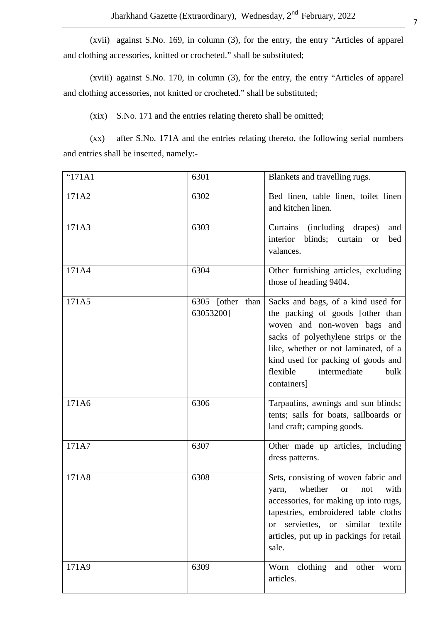(xvii) against S.No. 169, in column (3), for the entry, the entry "Articles of apparel and clothing accessories, knitted or crocheted." shall be substituted;

(xviii) against S.No. 170, in column (3), for the entry, the entry "Articles of apparel and clothing accessories, not knitted or crocheted." shall be substituted;

(xix) S.No. 171 and the entries relating thereto shall be omitted;

(xx) after S.No. 171A and the entries relating thereto, the following serial numbers and entries shall be inserted, namely:-

| "171A1 | 6301                             | Blankets and travelling rugs.                                                                                                                                                                                                                                                   |
|--------|----------------------------------|---------------------------------------------------------------------------------------------------------------------------------------------------------------------------------------------------------------------------------------------------------------------------------|
| 171A2  | 6302                             | Bed linen, table linen, toilet linen<br>and kitchen linen.                                                                                                                                                                                                                      |
| 171A3  | 6303                             | (including drapes)<br>Curtains<br>and<br>interior<br>blinds; curtain<br>bed<br><b>or</b><br>valances.                                                                                                                                                                           |
| 171A4  | 6304                             | Other furnishing articles, excluding<br>those of heading 9404.                                                                                                                                                                                                                  |
| 171A5  | 6305<br>[other than<br>63053200] | Sacks and bags, of a kind used for<br>the packing of goods [other than<br>woven and non-woven bags and<br>sacks of polyethylene strips or the<br>like, whether or not laminated, of a<br>kind used for packing of goods and<br>flexible<br>intermediate<br>bulk<br>containers]  |
| 171A6  | 6306                             | Tarpaulins, awnings and sun blinds;<br>tents; sails for boats, sailboards or<br>land craft; camping goods.                                                                                                                                                                      |
| 171A7  | 6307                             | Other made up articles, including<br>dress patterns.                                                                                                                                                                                                                            |
| 171A8  | 6308                             | Sets, consisting of woven fabric and<br>whether<br>with<br><b>or</b><br>not<br>yarn,<br>accessories, for making up into rugs,<br>tapestries, embroidered table cloths<br>similar textile<br>serviettes, or<br><sub>or</sub><br>articles, put up in packings for retail<br>sale. |
| 171A9  | 6309                             | Worn clothing<br>and other<br>worn<br>articles.                                                                                                                                                                                                                                 |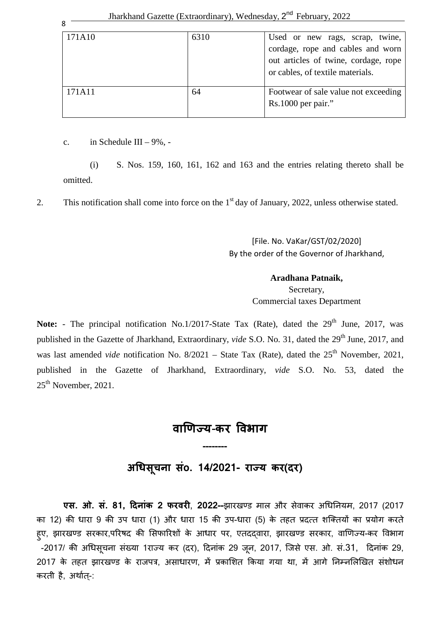|        | Jharkhand Gazette (Extraordinary), Wednesday, 2 <sup>nd</sup> February, 2022 |                                                                                                                                                  |
|--------|------------------------------------------------------------------------------|--------------------------------------------------------------------------------------------------------------------------------------------------|
| 8      |                                                                              |                                                                                                                                                  |
| 171A10 | 6310                                                                         | Used or new rags, scrap, twine,<br>cordage, rope and cables and worn<br>out articles of twine, cordage, rope<br>or cables, of textile materials. |
| 171A11 | 64                                                                           | Footwear of sale value not exceeding<br>Rs.1000 per pair."                                                                                       |

c. in Schedule III –  $9\%$ , -

(i) S. Nos. 159, 160, 161, 162 and 163 and the entries relating thereto shall be omitted.

2. This notification shall come into force on the 1<sup>st</sup> day of January, 2022, unless otherwise stated.

[File. No. VaKar/GST/02/2020] By the order of the Governor of Jharkhand,

 $n^{nd}$  Feb

#### **Aradhana Patnaik,**

Secretary, Commercial taxes Department

Note: - The principal notification No.1/2017-State Tax (Rate), dated the 29<sup>th</sup> June, 2017, was published in the Gazette of Jharkhand, Extraordinary, *vide* S.O. No. 31, dated the 29<sup>th</sup> June, 2017, and was last amended *vide* notification No. 8/2021 – State Tax (Rate), dated the 25<sup>th</sup> November, 2021, published in the Gazette of Jharkhand, Extraordinary, *vide* S.O. No. 53, dated the 25<sup>th</sup> November, 2021.

## **वाणय**-**कर वभाग**

**--------** 

### अधिसूचना संo. 14/2021- राज्य कर(दर)

**एस. ओ. सं. 81, \$दनांक 2 फरवर&**, **2022--**झारखड माल और सेवाकर अधनयम, 2017 (2017 का 12) की धारा 9 की उप धारा (1) और धारा 15 की उप-धारा (5) के तहत प्रदत्त शक्तियों का प्रयोग करते हए, झारखण्ड सरकार,परिषद की सिफारिशों के आधार पर, एतददवारा, झारखण्ड सरकार, वाणिज्य-कर विभाग -2017/ की अधिसूचना संख्या 1राज्य कर (दर), दिनांक 29 जून, 2017, जिसे एस. ओ. सं.31, दिनांक 29, 2017 के तहत झारखण्ड के राजपत्र, असाधारण, में प्रकाशित किया गया था, में आगे निम्नलिखित संशोधन करती है, अर्थात्-: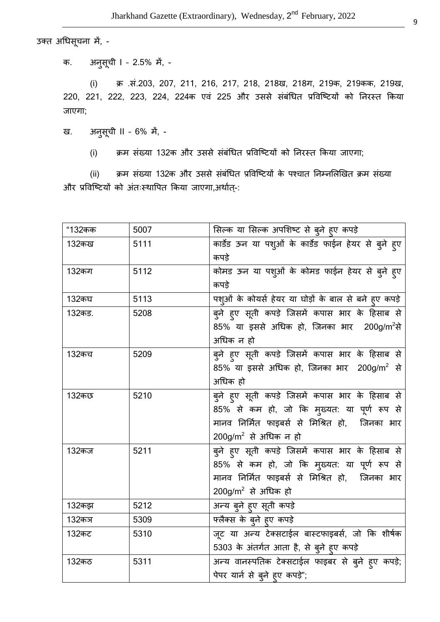उक्त अधिसूचना में, -

क. अन्**सूची I - 2.5% में**, -

(i) क्र .सं.203, 207, 211, 216, 217, 218, 218ख, 218ग, 219क, 219कक, 219ख, 220, 221, 222, 223, 224, 224क एवं 225 और उससे संबंधित प्रविष्टियों को निरस्त किया जाएगा;

- ख. अनुसूची II 6% में, -
	- (i) क्रम संख्या 132क और उससे संबंधित प्रविष्टियों को निरस्त किया जाएगा;

(ii) क्रम संख्या 132क और उससे संबंधित प्रविष्टियों के पश्चात निम्नलिखित क्रम संख्या और प्रविष्टियों को अंतःस्थापित किया जाएगा,अर्थात्-:

| "132कक | 5007 | सिल्क या सिल्क अपशिष्ट से बुने हुए कपड़े               |
|--------|------|--------------------------------------------------------|
| 132कख  | 5111 | कार्डेड ऊन या पश्ओं के कार्डेड फाईन हेयर से बुने ह्ए   |
|        |      | कपड़े                                                  |
| 132कग  | 5112 | कोमड ऊन या पश्ओं के कोमड फाईन हेयर से बुने हुए         |
|        |      | कपड़े                                                  |
| 132कघ  | 5113 | पशुओं के कोयर्स हेयर या घोड़ों के बाल से बने हुए कपड़े |
| 132कड. | 5208 | बुने हुए सूती कपड़े जिसमें कपास भार के हिसाब से        |
|        |      | 85% या इससे अधिक हो, जिनका भार 200g/m <sup>2</sup> से  |
|        |      | अधिक न हो                                              |
| 132कच  | 5209 | बुने ह्ए सूती कपड़े जिसमें कपास भार के हिसाब से        |
|        |      | 85% या इससे अधिक हो, जिनका भार 200g/m <sup>2</sup> से  |
|        |      | अधिक हो                                                |
| 132कछ  | 5210 | बुने हुए सूती कपड़े जिसमें कपास भार के हिसाब से        |
|        |      | 85% से कम हो, जो कि मुख्यत: या पूर्ण रूप से            |
|        |      | मानव निर्मित फाइबर्स से मिश्रित हो,  जिनका भार         |
|        |      | $200$ g/m $^2$ से अधिक न हो                            |
| 132कज  | 5211 | बुने हुए सूती कपड़े जिसमें कपास भार के हिसाब से        |
|        |      | 85% से कम हो, जो कि मुख्यत: या पूर्ण रूप से            |
|        |      | मानव निर्मित फाइबर्स से मिश्रित हो,  जिनका भार         |
|        |      | 200g/m <sup>2</sup> से अधिक हो                         |
| 132कझ  | 5212 | अन्य बुने हुए सूती कपड़े                               |
| 132कञ  | 5309 | फ्लैक्स के बुने हुए कपड़े                              |
| 132कट  | 5310 | जूट या अन्य टेक्सटाईल बास्टफाइबर्स, जो कि शीर्षक       |
|        |      | 5303 के अंतर्गत आता है, से बुने हुए कपड़े              |
| 132कठ  | 5311 | अन्य वानस्पतिक टेक्सटाईल फाइबर से बुने ह्ए कपड़े;      |
|        |      | पेपर यार्न से बुने हुए कपड़े";                         |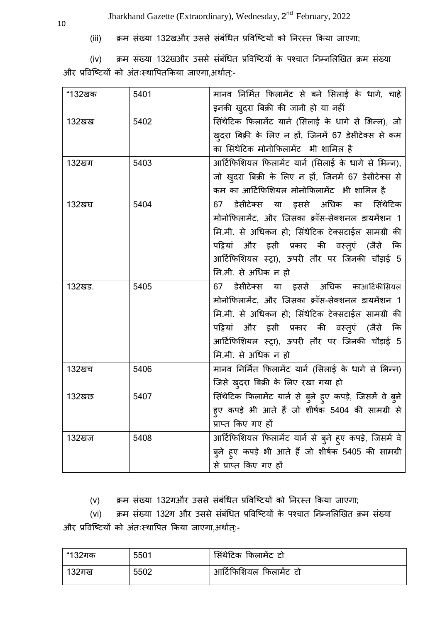(iii) क्रम संख्या 132खऔर उससे संबंधित प्रविष्टियों को निरस्त किया जाएगा;

(iv) क्रम संख्या 132खऔर उससे संबंधित प्रविष्टियों के पश्चात निम्नलिखित क्रम संख्या और प्रविष्टियों को अंतःस्थापितकिया जाएगा,अर्थात:-

| "132खक | 5401 | मानव निर्मित फिलामेंट से बने सिलाई के धागे, चाहे          |
|--------|------|-----------------------------------------------------------|
|        |      | इनकी ख़ुदरा बिक्री की जानी हो या नहीं                     |
| 132खख  | 5402 | सिंथेटिक फिलामेंट यार्न (सिलाई के धागे से भिन्न), जो      |
|        |      | खुदरा बिक्री के लिए न हों, जिनमें 67 डेसीटेक्स से कम      |
|        |      | का सिंथेटिक मोनोफिलामेंट भी शामिल है                      |
| 132खग  | 5403 | आर्टिफिशियल फिलामेंट यार्न (सिलाई के धागे से भिन्न),      |
|        |      | जो खुदरा बिक्री के लिए न हों, जिनमें 67 डेसीटेक्स से      |
|        |      | कम का आर्टिफिशियल मोनोफिलामेंट  भी शामिल है               |
| 132खघ  | 5404 | डेसीटेक्स या इससे अधिक<br>सिंथेटिक<br>67<br>का            |
|        |      | मोनोफिलामेंट, और जिसका क्रॉस-सेक्शनल डायमेंशन 1           |
|        |      | मि.मी. से अधिकन हो; सिंथेटिक टेक्सटाईल सामग्री की         |
|        |      | पट्टियां और इसी प्रकार की वस्तुएं (जैसे कि                |
|        |      | आर्टिफिशियल स्ट्रा), ऊपरी तौर पर जिनकी चौड़ाई 5           |
|        |      | मि.मी. से अधिक न हो                                       |
| 132खड. | 5405 | डेसीटेक्स या इससे अधिक काआर्टिफीसियल<br>67                |
|        |      | मोनोफिलामेंट, और जिसका क्रॉस-सेक्शनल डायमेंशन 1           |
|        |      | मि.मी. से अधिकन हो; सिंथेटिक टेक्सटाईल सामग्री की         |
|        |      | पट्टियां और इसी प्रकार की वस्तुएं (जैसे कि                |
|        |      | आर्टिफिशियल स्ट्रा), ऊपरी तौर पर जिनकी चौड़ाई 5           |
|        |      | मि.मी. से अधिक न हो                                       |
| 132खच  | 5406 | मानव निर्मित फिलामेंट यार्न (सिलाई के धागे से भिन्न)      |
|        |      | जिसे खुदरा बिक्री के लिए रखा गया हो                       |
| 132खछ  | 5407 | सिंथेटिक फिलामेंट यार्न से बुने हुए कपड़े, जिसमें वे बुने |
|        |      | ह्ए कपड़े भी आते हैं जो शीर्षक 5404 की सामग्री से         |
|        |      | प्राप्त किए गए हों                                        |
| 132खज  | 5408 | आर्टिफिशियल फिलामेंट यार्न से बुने हुए कपड़े, जिसमें वे   |
|        |      | बुने हुए कपड़े भी आते हैं जो शीर्षक 5405 की सामग्री       |
|        |      | से प्राप्त किए गए हों                                     |

(v) क्रम संख्या 132गऔर उससे संबंधित प्रविष्टियों को निरस्त किया जाएगा;

(vi) क्रम संख्या 132ग और उससे संबंधित प्रविष्टियों के पश्चात निम्नलिखित क्रम संख्या और प्रविष्टियों को अंतःस्थापित किया जाएगा,अर्थात्:-

| "132गक | 5501 | सिंथेटिक फिलामेंट टो    |
|--------|------|-------------------------|
| 132गख  | 5502 | आर्टिफिशियल फिलामेंट टो |

10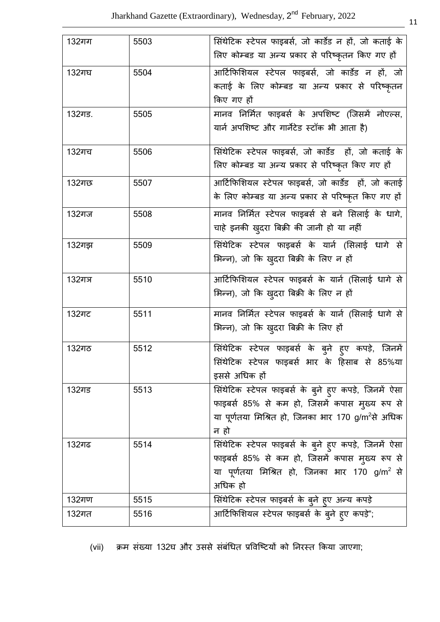| 132गग  | 5503 | सिंथेटिक स्टेपल फाइबर्स, जो कार्डेड न हों, जो कताई के                |
|--------|------|----------------------------------------------------------------------|
|        |      | लिए कोम्बड या अन्य प्रकार से परिष्कृतन किए गए हों                    |
| 132गघ  | 5504 | आर्टिफिशियल स्टेपल फाइबर्स, जो कार्डेड न हों, जो                     |
|        |      | कताई के लिए कोम्बड या अन्य प्रकार से परिष्कृतन                       |
|        |      | किए गए हों                                                           |
| 132गड. | 5505 | मानव निर्मित फाइबर्स के अपशिष्ट (जिसमें नोएल्स,                      |
|        |      | यार्न अपशिष्ट और गार्नेटेड स्टॉक भी आता है)                          |
| 132गच  | 5506 | सिंथेटिक स्टेपल फाइबर्स, जो कार्डेड हों, जो कताई के                  |
|        |      | लिए कोम्बड या अन्य प्रकार से परिष्कृत किए गए हों                     |
| 132गछ  | 5507 | आर्टिफिशियल स्टेपल फाइबर्स, जो कार्डेड हों, जो कताई                  |
|        |      | के लिए कोम्बड या अन्य प्रकार से परिष्कृत किए गए हों                  |
| 132गज  | 5508 | मानव निर्मित स्टेपल फाइबर्स से बने सिलाई के धागे,                    |
|        |      | चाहे इनकी खुदरा बिक्री की जानी हो या नहीं                            |
| 132गझ  | 5509 | सिंथेटिक स्टेपल फाइबर्स के यार्न (सिलाई धागे से                      |
|        |      | भिन्न), जो कि खुदरा बिक्री के लिए न हों                              |
| 132गञ  | 5510 | आर्टिफिशियल स्टेपल फाइबर्स के यार्न (सिलाई धागे से                   |
|        |      | भिन्न), जो कि खुदरा बिक्री के लिए न हों                              |
| 132गट  | 5511 | मानव निर्मित स्टेपल फाइबर्स के यार्न (सिलाई धागे से                  |
|        |      | भिन्न), जो कि खुदरा बिक्री के लिए हों                                |
| 132गठ  | 5512 | सिंथेटिक स्टेपल फाइबर्स के बुने हुए कपड़े, जिनमें                    |
|        |      | सिंथेटिक स्टेपल फाइबर्स भार के हिसाब से 85%या                        |
|        |      | इससे अधिक हों                                                        |
| 132गड  | 5513 | सिंथेटिक स्टेपल फाइबर्स के बुने ह्ए कपड़े, जिनमें ऐसा                |
|        |      | फाइबर्स 85% से कम हो, जिसमें कपास मुख्य रूप से                       |
|        |      | या पूर्णतया मिश्रित हो, जिनका भार 170 g/m <sup>2</sup> से अधिक       |
|        |      | न हो                                                                 |
| 132गढ  | 5514 | सिंथेटिक स्टेपल फाइबर्स के बुने ह्ए कपड़े, जिनमें ऐसा                |
|        |      | फाइबर्स 85% से कम हो, जिसमें कपास मुख्य रूप से                       |
|        |      | या पूर्णतया मिश्रित हो, जिनका भार 170 g/m <sup>2</sup> से<br>अधिक हो |
| 132गण  | 5515 | सिंथेटिक स्टेपल फाइबर्स के बुने ह्ए अन्य कपड़े                       |
| 132गत  | 5516 | आर्टिफिशियल स्टेपल फाइबर्स के बुने ह्ए कपड़े";                       |
|        |      |                                                                      |

(vii) क्रम संख्या 132घ और उससे संबंधित प्रविष्टियों को निरस्त किया जाएगा;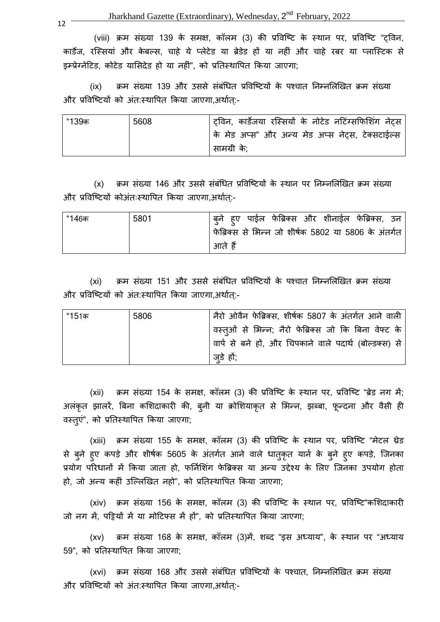(viii) क्रम संख्या 139 के समक्ष, कॉलम (3) की प्रविष्टि के स्थान पर, प्रविष्टि "ट्विन, कार्डेज, रस्सियां और केबल्स, चाहे ये प्लेटेड या ब्रेडेड हों या नहीं और चाहे रबर या प्लास्टिक से इम्प्रेग्नेटिड, कोटेड यासिदेड हो या नहीं", को प्रतिस्थापित किया जाएगा;

(ix) क्रम संख्या 139 और उससे संबंधित प्रविष्टियों के पश्चात निम्नलिखित क्रम संख्या और प्रविष्टियों को अंत:स्थापित किया जाएगा,अर्थात:-

| "139क | 5608 | टविन, कार्डेजया रस्सियों के नोटेड नटिंग्सफिशिंग नेट्स |
|-------|------|-------------------------------------------------------|
|       |      | के मेड अप्स" और अन्य मेड अप्स नेट्स, टेक्सटाईल्स      |
|       |      | सामग्री के:                                           |

(x) क्रम संख्या 146 और उससे संबंधित प्रविष्टियों के स्थान पर निम्नलिखित क्रम संख्या और प्रविष्टियों कोअंतःस्थापित किया जाएगा,अर्थात:-

| "146क | 5801 | बुने हुए पाईल फेब्रिक्स और शीनाईल फेब्रिक्स, उन      |
|-------|------|------------------------------------------------------|
|       |      | किब्रिक्स से भिन्न जो शीर्षक 5802 या 5806 के अंतर्गत |
|       |      | आते हैं                                              |

(xi) क्रम संख्या 151 और उससे संबंधित प्रविष्टियों के पश्चात निम्नलिखित क्रम संख्या और प्रविष्टियों को अंत:स्थापित किया जाएगा,अर्थात:-

| "151क | 5806 | नैरो ओवैन फेब्रिक्स, शीर्षक 5807 के अंतर्गत आने वाली   |
|-------|------|--------------------------------------------------------|
|       |      | वस्त्ओं से भिन्न; नैरो फेब्रिक्स जो कि बिना वेफ्ट के   |
|       |      | वार्प से बने हों, और चिपकाने वाले पदार्थ (बोल्डक्स) से |
|       |      | जुडे हों;                                              |

(xii) क्रम संख्या 154 के समक्ष, कॉलम (3) की प्रविष्टि के स्थान पर, प्रविष्टि "ब्रेड नग में; अलंकृत झालरें, बिना कशिदाकारी की, बनी या क्रोशियाकृत से भिन्न, झब्बा, फून्दना और वैसी ही वस्तुएं", को प्रतिस्थापित किया जाएगा;

(xiii) क्रम संख्या 155 के समक्ष, कॉलम (3) की प्रविष्टि के स्थान पर, प्रविष्टि "मेटल थ्रेड से बुने हुए कपड़े और शीर्षक 5605 के अंतर्गत आने वाले धातुकृत यार्न के बुने हुए कपड़े, जिनका प्रयोग परिधानों में किया जाता हो, फर्निशिंग फेब्रिक्स या अन्य उद्देश्य के लिए जिनका उपयोग होता हो, जो अन्य कहीं उल्लिखित नहों", को प्रतिस्थापित किया जाएगा;

(xiv) क्रम संख्या 156 के समक्ष, कॉलम (3) की प्रविष्टि के स्थान पर, प्रविष्टि"कशिदाकारी जो नग में, पट्टियों में या मोटिफ्स में हों", को प्रतिस्थापित किया जाएगा;

(xv) क्रम संख्या 168 के समक्ष, कॉलम (3)में, शब्द "इस अध्याय", के स्थान पर "अध्याय 59", को प्रतिस्थापित किया जाएगा;

(xvi) क्रम संख्या 168 और उससे संबंधित प्रविष्टियों के पश्चात, निम्नलिखित क्रम संख्या और प्रविष्टियों को अंत:स्थापित किया जाएगा,अर्थात:-

12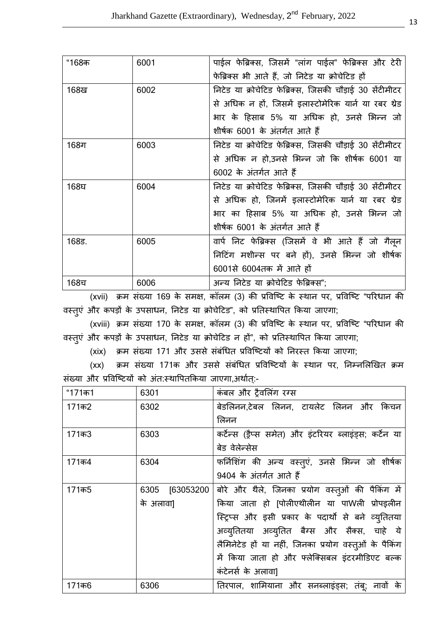| "168क | 6001 | पाईल फेब्रिक्स, जिसमें "लांग पाईल" फेब्रिक्स और टेरी    |
|-------|------|---------------------------------------------------------|
|       |      | फेब्रिक्स भी आते हैं, जो निटेड या क्रोचेटिड हों         |
| 168ख  | 6002 | निटेड या क्रोचेटिड फेब्रिक्स, जिसकी चौड़ाई 30 सेंटीमीटर |
|       |      | से अधिक न हों, जिसमें इलास्टोमेरिक यार्न या रबर थ्रेड   |
|       |      | भार के हिसाब 5% या अधिक हो, उनसे भिन्न जो               |
|       |      | शीर्षक 6001 के अंतर्गत आते हैं                          |
| 168ग  | 6003 | निटेड या क्रोचेटिड फेब्रिक्स, जिसकी चौड़ाई 30 सेंटीमीटर |
|       |      | से अधिक न हो,उनसे भिन्न जो कि शीर्षक 6001 या            |
|       |      | 6002 के अंतर्गत आते हैं                                 |
| 168ਬ  | 6004 | निटेड या क्रोचेटिड फेब्रिक्स, जिसकी चौड़ाई 30 सेंटीमीटर |
|       |      | से अधिक हो, जिनमें इलास्टोमेरिक यार्न या रबर थ्रेड      |
|       |      | भार का हिसाब 5% या अधिक हो, उनसे भिन्न जो               |
|       |      | शीर्षक 6001 के अंतर्गत आते हैं                          |
| 1683. | 6005 | वार्प निट फेब्रिक्स (जिसमें वे भी आते हैं जो गैलून      |
|       |      | निटिंग मशीन्स पर बने हों), उनसे भिन्न जो शीर्षक         |
|       |      | 6001से 6004तक में आते हों                               |
| 168च  | 6006 | अन्य निटेड या क्रोचेटिड फेब्रिक्स";                     |

(xvii) क्रम संख्या 169 के समक्ष, कॉलम (3) की प्रविष्टि के स्थान पर, प्रविष्टि "परिधान की वस्तूएं और कपड़ों के उपसाधन, निटेड या क्रोचेटिड", को प्रतिस्थापित किया जाएगा;

(xviii) क्रम संख्या 170 के समक्ष, कॉलम (3) की प्रविष्टि के स्थान पर, प्रविष्टि "परिधान की वस्तुएं और कपड़ों के उपसाधन, निटेड या क्रोचेटिड न हों", को प्रतिस्थापित किया जाएगा;

(xix) क्रम संख्या 171 और उससे संबंधित प्रविष्टियों को निरस्त किया जाएगा;

(xx) क्रम संख्या 171क और उससे संबंधित प्रविष्टियों के स्थान पर, निम्नलिखित क्रम संख्या और प्रविष्टियों को अंत:स्थापितकिया जाएगा,अर्थात:-

| "171क1 | 6301           | कंबल और ट्रैवलिंग रग्स                                |
|--------|----------------|-------------------------------------------------------|
| 171क2  | 6302           | बेडलिनन,टेबल लिनन, टायलेट लिनन और किचन                |
|        |                | लिनन                                                  |
| 171क3  | 6303           | कर्टन्स (ड्रैप्स समेत) और इंटरियर ब्लाइंड्स; कर्टन या |
|        |                | बेड वेलेन्सेस                                         |
| 171क4  | 6304           | फर्निशिंग की अन्य वस्तुएं, उनसे भिन्न जो शीर्षक       |
|        |                | 9404 के अंतर्गत आते हैं                               |
| 171क5  | 6305 [63053200 | बोरे और थैले, जिनका प्रयोग वस्त्ओं की पैकिंग में      |
|        | के अलावा।      | किया जाता हो [पोलीएथीलीन या पाWली प्रोपइलीन           |
|        |                | स्ट्रिप्स और इसी प्रकार के पदार्थो से बने व्यतितया    |
|        |                | अव्युतितया अव्युतित बैग्स और सैक्स, चाहे ये           |
|        |                | लैमिनेटेड हों या नहीं, जिनका प्रयोग वस्त्ओं के पैकिंग |
|        |                | में किया जाता हो और फ्लेक्सिबल इंटरमीडिएट बल्क        |
|        |                | कंटेनर्स के अलावा                                     |
| 171क6  | 6306           | तिरपाल, शामियाना और सनब्लाइंड्स; तंबू; नावों के       |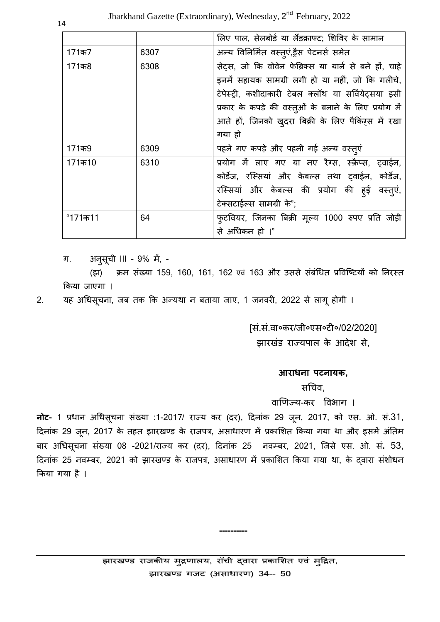|         |      | लिए पाल, सेलबोर्ड या लैंडक्राफ्ट; शिविर के सामान       |
|---------|------|--------------------------------------------------------|
| 171क7   | 6307 | अन्य विनिर्मित वस्तुएं,ड्रैस पेटनर्स समेत              |
| 171क8   | 6308 | सेट्स, जो कि वोवेन फेब्रिक्स या यार्न से बने हों, चाहे |
|         |      | इनमें सहायक सामग्री लगी हो या नहीं, जो कि गलीचे,       |
|         |      | टेपेस्ट्री, कशीदाकारी टेबल क्लॉथ या सर्वियेट्सया इसी   |
|         |      | प्रकार के कपड़े की वस्तुओं के बनाने के लिए प्रयोग में  |
|         |      | आते हों, जिनको खुदरा बिक्री के लिए पैकिंग्स में रखा    |
|         |      | गया हो                                                 |
| 171क9   | 6309 | पहने गए कपड़े और पहनी गई अन्य वस्तूएं                  |
| 171क10  | 6310 | प्रयोग में लाए गए या नए रैग्स, स्क्रैप्स, ट्वाईन,      |
|         |      | कोर्डेज, रस्सियां और केबल्स तथा ट्वाईन, कोर्डेज,       |
|         |      | रस्सियां और केबल्स की प्रयोग की हुई वस्तुएं,           |
|         |      | टेक्सटाईल्स सामग्री के";                               |
|         |      |                                                        |
| "171क11 | 64   | फुटवियर, जिनका बिक्री मूल्य 1000 रुपए प्रति जोड़ी      |

ग. अनुसूची III - 9% में, -

(झ) क्रम संख्या 159, 160, 161, 162 एवं 163 और उससे संबंधित प्रविष्टियों को निरस्त Fकया जाएगा ।

2. यह अधिसूचना, जब तक कि अन्यथा न बताया जाए, 1 जनवरी, 2022 से लागू होगी ।

#### [सं.सं.वा०कर/जी०एस०टी०/02/2020]

झारखंड राज्यपाल के आदेश से,

#### **आराधना पटनायक,**

सचव,

#### वाणिज्य-कर विभाग ।

**नोट-** 1 प्रधान अधिसूचना संख्या :1-2017/ राज्य कर (दर), दिनांक 29 जून, 2017, को एस. ओ. सं.31, दिनांक 29 जून, 2017 के तहत झारखण्ड के राजपत्र, असाधारण में प्रकाशित किया गया था और इसमें अंतिम बार अधिसूचना संख्या 08 -2021/राज्य कर (दर), दिनांक 25 नवम्बर, 2021, जिसे एस. ओ. सं. 53, दिनांक 25 नवम्बर, 2021 को झारखण्ड के राजपत्र, असाधारण में प्रकाशित किया गया था, के दवारा संशोधन Fकया गया है ।

**----------** 

14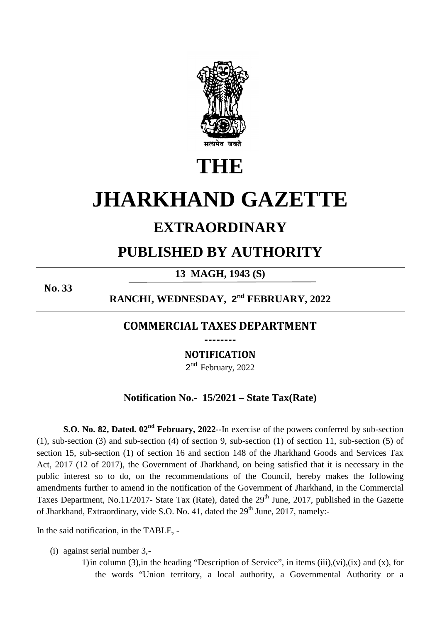

# **THE**

# **JHARKHAND GAZETTE**

## **EXTRAORDINARY**

## **PUBLISHED BY AUTHORITY**

### **13 MAGH, 1943 (S)**

**No. 33**

**RANCHI, WEDNESDAY, 2 nd FEBRUARY, 2022** 

### **COMMERCIAL TAXES DEPARTMENT --------**

**NOTIFICATION** 

2<sup>nd</sup> February, 2022

**Notification No.- 15/2021 – State Tax(Rate)**

**S.O. No. 82, Dated. 02nd February, 2022--**In exercise of the powers conferred by sub-section (1), sub-section (3) and sub-section (4) of section 9, sub-section (1) of section 11, sub-section (5) of section 15, sub-section (1) of section 16 and section 148 of the Jharkhand Goods and Services Tax Act, 2017 (12 of 2017), the Government of Jharkhand, on being satisfied that it is necessary in the public interest so to do, on the recommendations of the Council, hereby makes the following amendments further to amend in the notification of the Government of Jharkhand, in the Commercial Taxes Department, No.11/2017- State Tax (Rate), dated the 29<sup>th</sup> June, 2017, published in the Gazette of Jharkhand, Extraordinary, vide S.O. No. 41, dated the 29<sup>th</sup> June, 2017, namely:-

In the said notification, in the TABLE, -

- (i) against serial number 3,-
	- 1)in column (3),in the heading "Description of Service", in items (iii),(vi),(ix) and (x), for the words "Union territory, a local authority, a Governmental Authority or a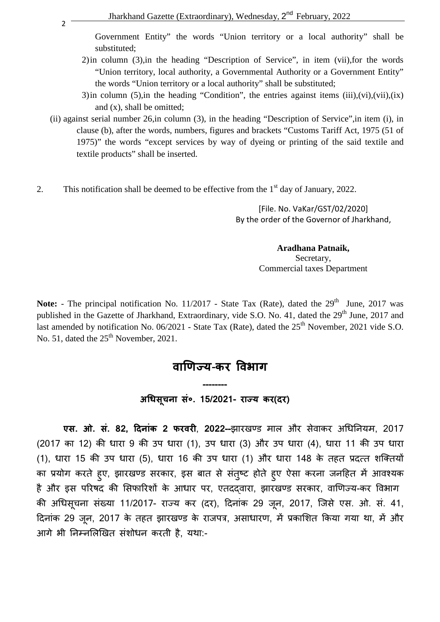2

Government Entity" the words "Union territory or a local authority" shall be substituted;

- 2)in column (3),in the heading "Description of Service", in item (vii),for the words "Union territory, local authority, a Governmental Authority or a Government Entity" the words "Union territory or a local authority" shall be substituted;
- 3)in column (5),in the heading "Condition", the entries against items  $(iii)$ , $(vi)$ , $(vii)$ , $(ix)$ and (x), shall be omitted;
- (ii) against serial number 26,in column (3), in the heading "Description of Service",in item (i), in clause (b), after the words, numbers, figures and brackets "Customs Tariff Act, 1975 (51 of 1975)" the words "except services by way of dyeing or printing of the said textile and textile products" shall be inserted.
- 2. This notification shall be deemed to be effective from the  $1<sup>st</sup>$  day of January, 2022.

[File. No. VaKar/GST/02/2020] By the order of the Governor of Jharkhand,

> **Aradhana Patnaik,** Secretary, Commercial taxes Department

**Note:** - The principal notification No. 11/2017 - State Tax (Rate), dated the 29<sup>th</sup> June, 2017 was published in the Gazette of Jharkhand, Extraordinary, vide S.O. No. 41, dated the 29<sup>th</sup> June, 2017 and last amended by notification No. 06/2021 - State Tax (Rate), dated the 25<sup>th</sup> November, 2021 vide S.O. No. 51, dated the  $25<sup>th</sup>$  November, 2021.

### **वाणय**-**कर वभाग**

**--------**  अधिसूचना सं०. 15/2021- राज्य **कर(दर**)

**एस. ओ. सं. 82, \$दनांक 2 फरवर&**, **2022--**झारखड माल और सेवाकर अधनयम, 2017 (2017 का 12) की धारा 9 की उप धारा (1), उप धारा (3) और उप धारा (4), धारा 11 की उप धारा (1), धारा 15 की उप धारा (5), धारा 16 की उप धारा (1) और धारा 148 के तहत प्रदत्त शक्तियों का प्रयोग करते हुए, झारखण्ड सरकार, इस बात से संतुष्ट होते हुए ऐसा करना जनहित में आवश्यक है और इस परिषद की सिफारिशों के आधार पर, एतदद्वारा, झारखण्ड सरकार, वाणिज्य-कर विभाग की अधिसूचना संख्या 11/2017- राज्य कर (दर), दिनांक 29 जून, 2017, जिसे एस. ओ. सं. 41, दिनांक 29 जून, 2017 के तहत झारखण्ड के राजपत्र, असाधारण, में प्रकाशित किया गया था, में और आगे भी निम्नलिखित संशोधन करती है, यथा:-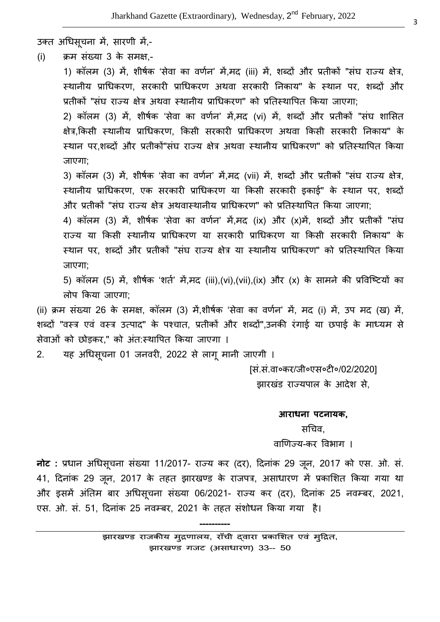उक्त अधिसूचना में, सारणी में,-

 $(i)$  क्रम संख्या 3 के समक्ष,-

1) कॉलम (3) में, शीर्षक 'सेवा का वर्णन' में,मद (iii) में, शब्दों और प्रतीकों "संघ राज्य क्षेत्र, .<br>स्थानीय प्राधिकरण, सरकारी प्राधिकरण अथवा सरकारी निकाय" के स्थान पर, शब्दों और प्रतीकों "संघ राज्य क्षेत्र अथवा स्थानीय प्राधिकरण" को प्रतिस्थापित किया जाएगा:

2) कॉलम (3) में, शीर्षक 'सेवा का वर्णन' में,मद (vi) में, शब्दों और प्रतीकों "संघ शासित क्षेत्र,किसी स्थानीय प्राधिकरण, किसी सरकारी प्राधिकरण अथवा किसी सरकारी निकाय" के स्थान पर,शब्दों और प्रतीकों"संघ राज्य क्षेत्र अथवा स्थानीय प्राधिकरण" को प्रतिस्थापित किया जाएगा;

3) कॉलम (3) में, शीर्षक 'सेवा का वर्णन' में,मद (vii) में, शब्दों और प्रतीकों "संघ राज्य क्षेत्र, स्थानीय प्राधिकरण, एक सरकारी प्राधिकरण या किसी सरकारी इकाई" के स्थान पर, शब्दों और प्रतीकों "संघ राज्य क्षेत्र अथवास्थानीय प्राधिकरण" को प्रतिस्थापित किया जाएगा;

4) कॉलम (3) में, शीर्षक 'सेवा का वर्णन' में,मद (ix) और (x)में, शब्दों और प्रतीकों "संघ राज्य या किसी स्थानीय प्राधिकरण या सरकारी प्राधिकरण या किसी सरकारी निकाय" के स्थान पर, शब्दों और प्रतीकों "संघ राज्य क्षेत्र या स्थानीय प्राधिकरण" को प्रतिस्थापित किया जाएगा;

5) कॉलम (5) में, शीर्षक 'शर्त' में,मद (iii),(vi),(vii),(ix) और (x) के सामने की प्रविष्टियों का लोप Pकया जाएगा;

(ii) क्रम संख्या 26 के समक्ष, कॉलम (3) में,शीर्षक 'सेवा का वर्णन' में, मद (i) में, उप मद (ख) में, शब्दों "वस्त्र एवं वस्त्र उत्पाद" के पश्चात, प्रतीकों और शब्दों",उनकी रंगाई या छपाई के माध्यम से सेवाओं को छोड़कर," को अंत:स्थापित किया जाएगा ।

2. यह अधिसूचना 01 जनवरी, 2022 से लागू मानी जाएगी ।

[सं.सं.वा०कर/जी०एस०टी०/02/2020] झारखंड राज्यपाल के आदेश से,

#### **आराधना पटनायक,**

सचव,

वाणिज्य-कर विभाग ।

**नोट** : प्रधान अधिसूचना संख्या 11/2017- राज्य कर (दर), दिनांक 29 जून, 2017 को एस. ओ. सं. 41, दिनांक 29 जून, 2017 के तहत झारखण्ड के राजपत्र, असाधारण में प्रकाशित किया गया था और इसमें अंतिम बार अधिसूचना संख्या 06/2021- राज्य कर (दर), दिनांक 25 नवम्बर, 2021, एस. ओ. सं. 51, दिनांक 25 नवम्बर, 2021 के तहत संशोधन किया गया है।

**----------**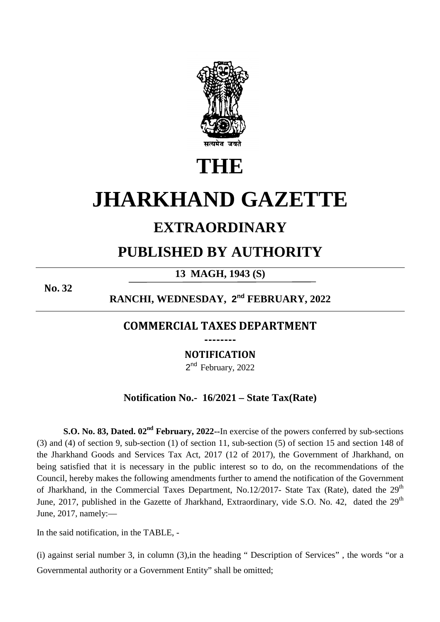

# **THE**

# **JHARKHAND GAZETTE**

## **EXTRAORDINARY**

## **PUBLISHED BY AUTHORITY**

### **13 MAGH, 1943 (S)**

**No. 32**

**RANCHI, WEDNESDAY, 2 nd FEBRUARY, 2022** 

#### **COMMERCIAL TAXES DEPARTMENT --------**

**NOTIFICATION** 

2<sup>nd</sup> February, 2022

**Notification No.- 16/2021 – State Tax(Rate)**

**S.O. No. 83, Dated. 02nd February, 2022--**In exercise of the powers conferred by sub-sections (3) and (4) of section 9, sub-section (1) of section 11, sub-section (5) of section 15 and section 148 of the Jharkhand Goods and Services Tax Act, 2017 (12 of 2017), the Government of Jharkhand, on being satisfied that it is necessary in the public interest so to do, on the recommendations of the Council, hereby makes the following amendments further to amend the notification of the Government of Jharkhand, in the Commercial Taxes Department, No.12/2017- State Tax (Rate), dated the  $29<sup>th</sup>$ June, 2017, published in the Gazette of Jharkhand, Extraordinary, vide S.O. No. 42, dated the 29<sup>th</sup> June, 2017, namely:—

In the said notification, in the TABLE, -

(i) against serial number 3, in column (3),in the heading " Description of Services" , the words "or a Governmental authority or a Government Entity" shall be omitted;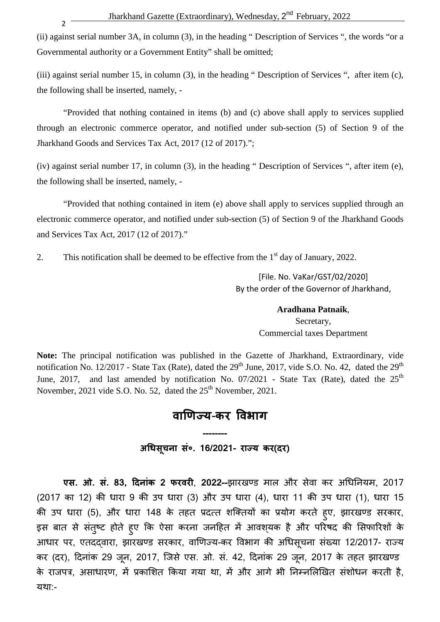2

(ii) against serial number 3A, in column (3), in the heading " Description of Services ", the words "or a Governmental authority or a Government Entity" shall be omitted;

(iii) against serial number 15, in column (3), in the heading " Description of Services ", after item (c), the following shall be inserted, namely, -

 "Provided that nothing contained in items (b) and (c) above shall apply to services supplied through an electronic commerce operator, and notified under sub-section (5) of Section 9 of the Jharkhand Goods and Services Tax Act, 2017 (12 of 2017).";

(iv) against serial number 17, in column (3), in the heading " Description of Services ", after item (e), the following shall be inserted, namely, -

 "Provided that nothing contained in item (e) above shall apply to services supplied through an electronic commerce operator, and notified under sub-section (5) of Section 9 of the Jharkhand Goods and Services Tax Act, 2017 (12 of 2017)."

2. This notification shall be deemed to be effective from the  $1<sup>st</sup>$  day of January, 2022.

[File. No. VaKar/GST/02/2020] By the order of the Governor of Jharkhand,

> **Aradhana Patnaik**, Secretary, Commercial taxes Department

**Note:** The principal notification was published in the Gazette of Jharkhand, Extraordinary, vide notification No. 12/2017 - State Tax (Rate), dated the  $29<sup>th</sup>$  June, 2017, vide S.O. No. 42, dated the  $29<sup>th</sup>$ June, 2017, and last amended by notification No.  $07/2021$  - State Tax (Rate), dated the  $25<sup>th</sup>$ November, 2021 vide S.O. No. 52, dated the  $25<sup>th</sup>$  November, 2021.

## **वाणय**-**कर वभाग**

### **-------- अधसूचना सं०. 16/2021- रा य कर(दर)**

**एस. ओ. सं. 83, %दनांक 2 फरवर'**, **2022--**झारखड माल और सेवा कर अधनयम, 2017 (2017 का 12) की धारा 9 की उप धारा (3) और उप धारा (4), धारा 11 की उप धारा (1), धारा 15 की उप धारा (5), और धारा 148 के तहत प्रदत्त शक्तियों का प्रयोग करते हुए, झारखण्ड सरकार, इस बात से संतुष्ट होते हुए कि ऐसा करना जनहित में आवश्यक है और परिषद की सिफारिशों के आधार पर, एतदद्वारा, झारखण्ड सरकार, वाणिज्य-कर विभाग की अधिसूचना संख्या 12/2017- राज्य कर (दर), दिनांक 29 जून, 2017, जिसे एस. ओ. सं. 42, दिनांक 29 जून, 2017 के तहत झारखण्ड के राजपत्र, असाधारण, में प्रकाशित किया गया था, में और आगे भी निम्नलिखित संशोधन करती है, यथा:-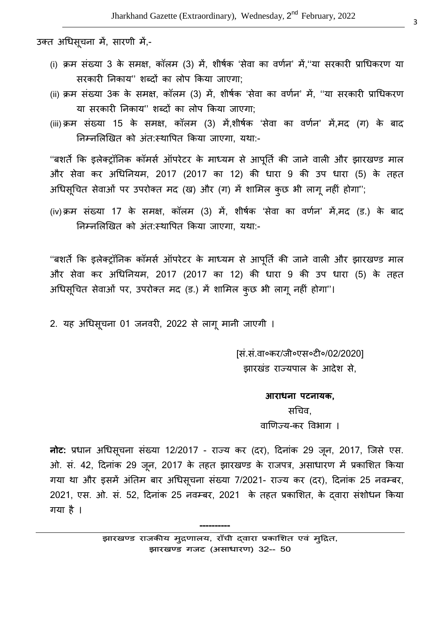उक्त अधिसूचना में, सारणी में,-

- (i) क्रम संख्या 3 के समक्ष, कॉलम (3) में, शीर्षक 'सेवा का वर्णन' में,''या सरकारी प्राधिकरण या सरकारी निकाय" शब्दों का लोप किया जाएगा;
- (ii) क्रम संख्या 3क के समक्ष, कॉलम (3) में, शीर्षक 'सेवा का वर्णन' में, ''या सरकारी प्राधिकरण या सरकारी निकाय" शब्दों का लोप किया जाएगा;
- (iii) क्रम संख्या 15 के समक्ष, कॉलम (3) में,शीर्षक 'सेवा का वर्णन' में,मद (ग) के बाद निम्नलिखित को अंत:स्थापित किया जाएगा, यथा:-

''बशर्ते कि इलेक्ट्रॉनिक कॉमर्स ऑपरेटर के माध्यम से आपूर्ति की जाने वाली और झारखण्ड माल और सेवा कर अधिनियम, 2017 (2017 का 12) की धारा 9 की उप धारा (5) के तहत अधिसूचित सेवाओं पर उपरोक्त मद (ख) और (ग) में शामिल कुछ भी लागू नहीं होगा";

(iv) क्रम संख्या 17 के समक्ष, कॉलम (3) में, शीर्षक 'सेवा का वर्णन' में,मद (ड.) के बाद निम्नलिखित को अंत:स्थापित किया जाएगा, यथा:-

''बशर्ते कि इलेक्ट्रॉनिक कॉमर्स ऑपरेटर के माध्यम से आपूर्ति की जाने वाली और झारखण्ड माल और सेवा कर अधिनियम, 2017 (2017 का 12) की धारा 9 की उप धारा (5) के तहत अधिसूचित सेवाओं पर, उपरोक्त मद (ड.) में शामिल कुछ भी लागू नहीं होगा"।

2. यह अधिसूचना 01 जनवरी, 2022 से लागू मानी जाएगी ।

[सं.सं.वा०कर/जी०एस०टी०/02/2020] झारखंड राज्यपाल के आदेश से,

> **आराधना पटनायक,**  सचव, वाणिज्य-कर विभाग ।

**नोट:** प्रधान अधिसूचना संख्या 12/2017 - राज्य कर (दर), दिनांक 29 जून, 2017, जिसे एस. ओ. सं. 42, दिनांक 29 जून, 2017 के तहत झारखण्ड के राजपत्र, असाधारण में प्रकाशित किया गया था और इसमें अंतिम बार अधिसूचना संख्या 7/2021- राज्य कर (दर), दिनांक 25 नवम्बर, 2021, एस. ओ. सं. 52, दिनांक 25 नवम्बर, 2021 के तहत प्रकाशित, के द्वारा संशोधन किया गया है ।

> झारखण्ड राजकीय मुद्रणालय, राँची द्वारा प्रकाशित एवं मुद्रित, झारखड गजट (असाधारण) 32-- 50

**----------**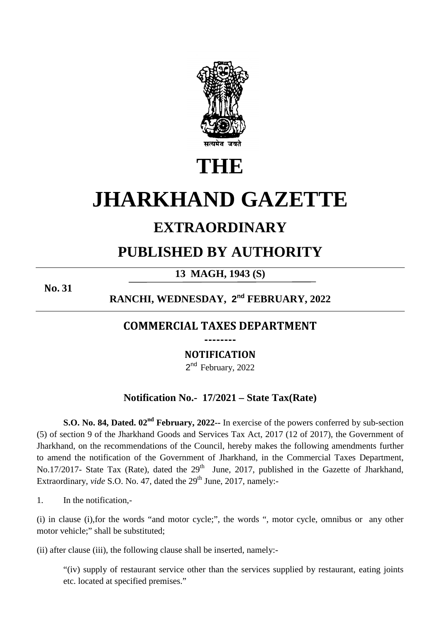

# **THE**

# **JHARKHAND GAZETTE**

## **EXTRAORDINARY**

## **PUBLISHED BY AUTHORITY**

### **13 MAGH, 1943 (S)**

**No. 31**

**RANCHI, WEDNESDAY, 2 nd FEBRUARY, 2022** 

### **COMMERCIAL TAXES DEPARTMENT --------**

**NOTIFICATION** 

2<sup>nd</sup> February, 2022

**Notification No.- 17/2021 – State Tax(Rate)**

**S.O. No. 84, Dated. 02nd February, 2022--** In exercise of the powers conferred by sub-section (5) of section 9 of the Jharkhand Goods and Services Tax Act, 2017 (12 of 2017), the Government of Jharkhand, on the recommendations of the Council, hereby makes the following amendments further to amend the notification of the Government of Jharkhand, in the Commercial Taxes Department, No.17/2017- State Tax (Rate), dated the 29<sup>th</sup> June, 2017, published in the Gazette of Jharkhand, Extraordinary, *vide* S.O. No. 47, dated the 29<sup>th</sup> June, 2017, namely:-

1. In the notification,-

(i) in clause (i),for the words "and motor cycle;", the words ", motor cycle, omnibus or any other motor vehicle;" shall be substituted;

(ii) after clause (iii), the following clause shall be inserted, namely:-

"(iv) supply of restaurant service other than the services supplied by restaurant, eating joints etc. located at specified premises."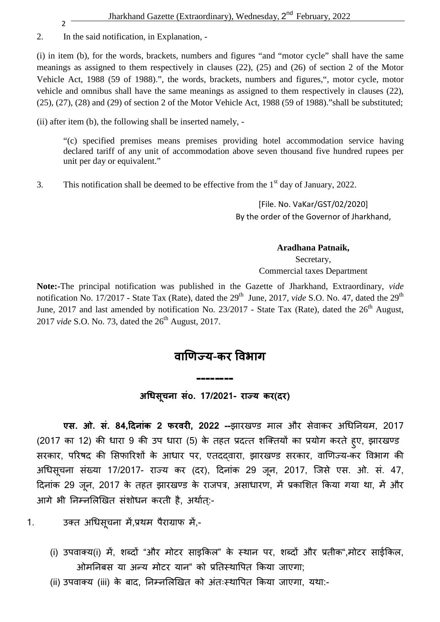#### Jharkhand Gazette (Extraordinary), Wednesday, 2<sup>nd</sup> February, 2022

2. In the said notification, in Explanation, -

2

(i) in item (b), for the words, brackets, numbers and figures "and "motor cycle" shall have the same meanings as assigned to them respectively in clauses (22), (25) and (26) of section 2 of the Motor Vehicle Act, 1988 (59 of 1988).", the words, brackets, numbers and figures,", motor cycle, motor vehicle and omnibus shall have the same meanings as assigned to them respectively in clauses (22), (25), (27), (28) and (29) of section 2 of the Motor Vehicle Act, 1988 (59 of 1988)."shall be substituted;

(ii) after item (b), the following shall be inserted namely, -

"(c) specified premises means premises providing hotel accommodation service having declared tariff of any unit of accommodation above seven thousand five hundred rupees per unit per day or equivalent."

3. This notification shall be deemed to be effective from the  $1<sup>st</sup>$  day of January, 2022.

[File. No. VaKar/GST/02/2020] By the order of the Governor of Jharkhand,

#### **Aradhana Patnaik,**

Secretary, Commercial taxes Department

**Note:-**The principal notification was published in the Gazette of Jharkhand, Extraordinary, *vide* notification No. 17/2017 - State Tax (Rate), dated the 29<sup>th</sup> June, 2017, *vide* S.O. No. 47, dated the 29<sup>th</sup> June, 2017 and last amended by notification No. 23/2017 - State Tax (Rate), dated the  $26<sup>th</sup>$  August, 2017 *vide* S.O. No. 73, dated the 26<sup>th</sup> August, 2017.

## **वाणय**-**कर वभाग**

**अधसूचना संo. 17/2021- रा य कर(दर)** 

**--------**

**एस. ओ. सं. 84,%दनांक 2 फरवर', 2022 --**झारखड माल और सेवाकर अधनयम, 2017 (2017 का 12) की धारा 9 की उप धारा (5) के तहत प्रदत्त शक्तियों का प्रयोग करते हुए, झारखण्ड सरकार, परिषद की सिफारिशों के आधार पर, एतदद्वारा, झारखण्ड सरकार, वाणिज्य-कर विभाग की अधिसूचना संख्या 17/2017- राज्य कर (दर), दिनांक 29 जून, 2017, जिसे एस. ओ. सं. 47, दिनांक 29 जून, 2017 के तहत झारखण्ड के राजपत्र, असाधारण, में प्रकाशित किया गया था, में और आगे भी निम्नलिखित संशोधन करती है, अर्थात्:-

1. उक्त अधिसूचना में,प्रथम पैराग्राफ में,-

- (i) उपवाक्य(i) में, शब्दों "और मोटर साइकिल" के स्थान पर, शब्दों और प्रतीक",मोटर साईकिल, ओमनिबस या अन्य मोटर यान" को प्रतिस्थापित किया जाएगा;
- (ii) उपवाक्य (iii) के बाद, निम्नलिखित को अंतःस्थापित किया जाएगा, यथा:-